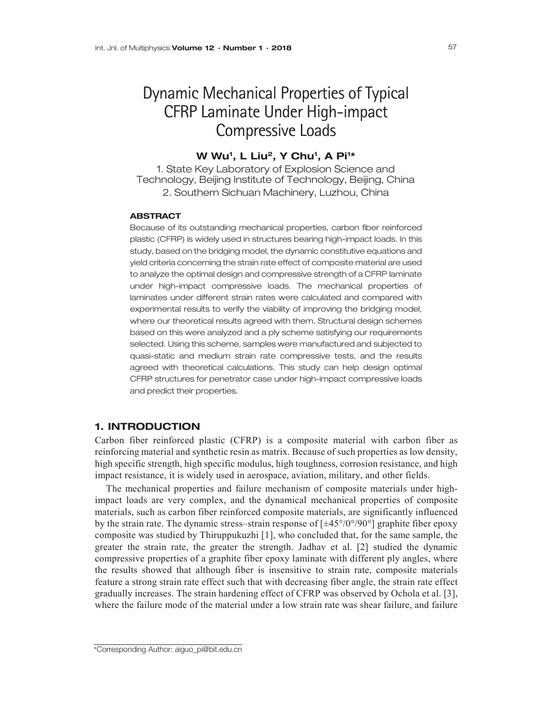# Dynamic Mechanical Properties of Typical CFRP Laminate Under High-impact Compressive Loads

## W Wu<sup>1</sup>, L Liu<sup>2</sup>, Y Chu<sup>1</sup>, A Pi<sup>1</sup>\*

1. State Key Laboratory of Explosion Science and Technology, Beijing Institute of Technology, Beijing, China 2. Southern Sichuan Machinery, Luzhou, China

#### **ABSTRACT**

Because of its outstanding mechanical properties, carbon fiber reinforced plastic (CFRP) is widely used in structures bearing high-impact loads. In this study, based on the bridging model, the dynamic constitutive equations and yield criteria concerning the strain rate effect of composite material are used to analyze the optimal design and compressive strength of a CFRP laminate under high-impact compressive loads. The mechanical properties of laminates under different strain rates were calculated and compared with experimental results to verify the viability of improving the bridging model, where our theoretical results agreed with them. Structural design schemes based on this were analyzed and a ply scheme satisfying our requirements selected. Using this scheme, samples were manufactured and subjected to quasi-static and medium strain rate compressive tests, and the results agreed with theoretical calculations. This study can help design optimal CFRP structures for penetrator case under high-impact compressive loads and predict their properties.

# 1. INTRODUCTION

Carbon fiber reinforced plastic (CFRP) is a composite material with carbon fiber as reinforcing material and synthetic resin as matrix. Because of such properties as low density, high specific strength, high specific modulus, high toughness, corrosion resistance, and high impact resistance, it is widely used in aerospace, aviation, military, and other fields.

The mechanical properties and failure mechanism of composite materials under highimpact loads are very complex, and the dynamical mechanical properties of composite materials, such as carbon fiber reinforced composite materials, are significantly influenced by the strain rate. The dynamic stress–strain response of  $[\pm 45^{\circ}/0^{\circ}/90^{\circ}]$  graphite fiber epoxy composite was studied by Thiruppukuzhi [1], who concluded that, for the same sample, the greater the strain rate, the greater the strength. Jadhav et al. [2] studied the dynamic compressive properties of a graphite fiber epoxy laminate with different ply angles, where the results showed that although fiber is insensitive to strain rate, composite materials feature a strong strain rate effect such that with decreasing fiber angle, the strain rate effect gradually increases. The strain hardening effect of CFRP was observed by Ochola et al. [3], where the failure mode of the material under a low strain rate was shear failure, and failure

\_\_\_\_\_\_\_\_\_\_\_\_\_\_\_\_\_\_\_\_\_\_\_\_\_\_\_\_\_\_\_\_\_\_\_ \*Corresponding Author: aiguo\_pi@bit.edu.cn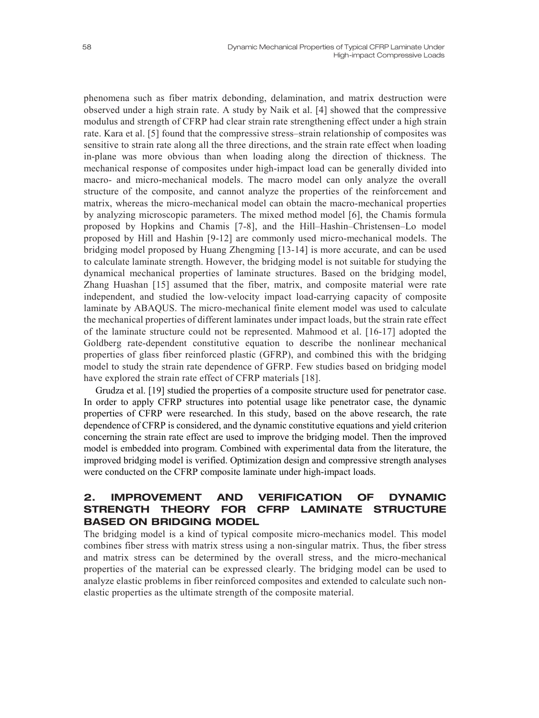phenomena such as fiber matrix debonding, delamination, and matrix destruction were observed under a high strain rate. A study by Naik et al. [4] showed that the compressive modulus and strength of CFRP had clear strain rate strengthening effect under a high strain rate. Kara et al. [5] found that the compressive stress–strain relationship of composites was sensitive to strain rate along all the three directions, and the strain rate effect when loading in-plane was more obvious than when loading along the direction of thickness. The mechanical response of composites under high-impact load can be generally divided into macro- and micro-mechanical models. The macro model can only analyze the overall structure of the composite, and cannot analyze the properties of the reinforcement and matrix, whereas the micro-mechanical model can obtain the macro-mechanical properties by analyzing microscopic parameters. The mixed method model [6], the Chamis formula proposed by Hopkins and Chamis [7-8], and the Hill–Hashin–Christensen–Lo model proposed by Hill and Hashin [9-12] are commonly used micro-mechanical models. The bridging model proposed by Huang Zhengming [13-14] is more accurate, and can be used to calculate laminate strength. However, the bridging model is not suitable for studying the dynamical mechanical properties of laminate structures. Based on the bridging model, Zhang Huashan [15] assumed that the fiber, matrix, and composite material were rate independent, and studied the low-velocity impact load-carrying capacity of composite laminate by ABAQUS. The micro-mechanical finite element model was used to calculate the mechanical properties of different laminates under impact loads, but the strain rate effect of the laminate structure could not be represented. Mahmood et al. [16-17] adopted the Goldberg rate-dependent constitutive equation to describe the nonlinear mechanical properties of glass fiber reinforced plastic (GFRP), and combined this with the bridging model to study the strain rate dependence of GFRP. Few studies based on bridging model have explored the strain rate effect of CFRP materials [18].

Grudza et al. [19] studied the properties of a composite structure used for penetrator case. In order to apply CFRP structures into potential usage like penetrator case, the dynamic properties of CFRP were researched. In this study, based on the above research, the rate dependence of CFRP is considered, and the dynamic constitutive equations and yield criterion concerning the strain rate effect are used to improve the bridging model. Then the improved model is embedded into program. Combined with experimental data from the literature, the improved bridging model is verified. Optimization design and compressive strength analyses were conducted on the CFRP composite laminate under high-impact loads.

# 2. IMPROVEMENT AND VERIFICATION OF DYNAMIC STRENGTH THEORY FOR CFRP LAMINATE STRUCTURE BASED ON BRIDGING MODEL

The bridging model is a kind of typical composite micro-mechanics model. This model combines fiber stress with matrix stress using a non-singular matrix. Thus, the fiber stress and matrix stress can be determined by the overall stress, and the micro-mechanical properties of the material can be expressed clearly. The bridging model can be used to analyze elastic problems in fiber reinforced composites and extended to calculate such nonelastic properties as the ultimate strength of the composite material.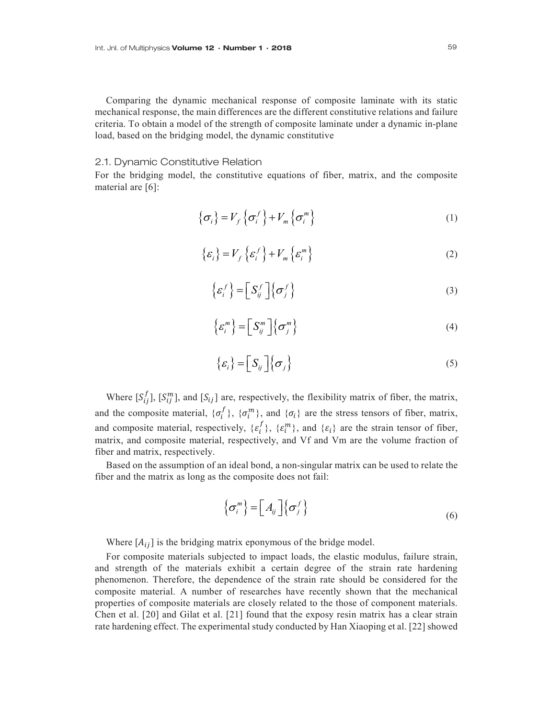Comparing the dynamic mechanical response of composite laminate with its static mechanical response, the main differences are the different constitutive relations and failure criteria. To obtain a model of the strength of composite laminate under a dynamic in-plane load, based on the bridging model, the dynamic constitutive

#### 2.1. Dynamic Constitutive Relation

For the bridging model, the constitutive equations of fiber, matrix, and the composite material are [6]:

$$
\left\{ \sigma_{i} \right\} = V_{f} \left\{ \sigma_{i}^{f} \right\} + V_{m} \left\{ \sigma_{i}^{m} \right\}
$$
 (1)

$$
\{\varepsilon_i\} = V_f \left\{ \varepsilon_i^f \right\} + V_m \left\{ \varepsilon_i^m \right\} \tag{2}
$$

$$
\left\{ \varepsilon_{i}^{f} \right\} = \left[ S_{ij}^{f} \right] \left\{ \sigma_{j}^{f} \right\}
$$
 (3)

$$
\left\{ \mathcal{E}_{i}^{m} \right\} = \left[ S_{ij}^{m} \right] \left\{ \sigma_{j}^{m} \right\} \tag{4}
$$

$$
\{\varepsilon_i\} = \left[S_{ij}\right] \left\{\sigma_j\right\} \tag{5}
$$

Where  $[S_{ij}^f]$ ,  $[S_{ij}^m]$ , and  $[S_{ij}]$  are, respectively, the flexibility matrix of fiber, the matrix, and the composite material,  $\{\sigma_i^J\}$ ,  $\{\sigma_i^m\}$ , and  $\{\sigma_i\}$  are the stress tensors of fiber, matrix, and composite material, respectively,  $\{\varepsilon_i^I\}$ ,  $\{\varepsilon_i^m\}$ , and  $\{\varepsilon_i\}$  are the strain tensor of fiber, matrix, and composite material, respectively, and Vf and Vm are the volume fraction of fiber and matrix, respectively.

Based on the assumption of an ideal bond, a non-singular matrix can be used to relate the fiber and the matrix as long as the composite does not fail:

$$
\left\{ \sigma_i^m \right\} = \left[ A_{ij} \right] \left\{ \sigma_j^f \right\} \tag{6}
$$

Where  $[A_{ij}]$  is the bridging matrix eponymous of the bridge model.

For composite materials subjected to impact loads, the elastic modulus, failure strain, and strength of the materials exhibit a certain degree of the strain rate hardening phenomenon. Therefore, the dependence of the strain rate should be considered for the composite material. A number of researches have recently shown that the mechanical properties of composite materials are closely related to the those of component materials. Chen et al. [20] and Gilat et al. [21] found that the exposy resin matrix has a clear strain rate hardening effect. The experimental study conducted by Han Xiaoping et al. [22] showed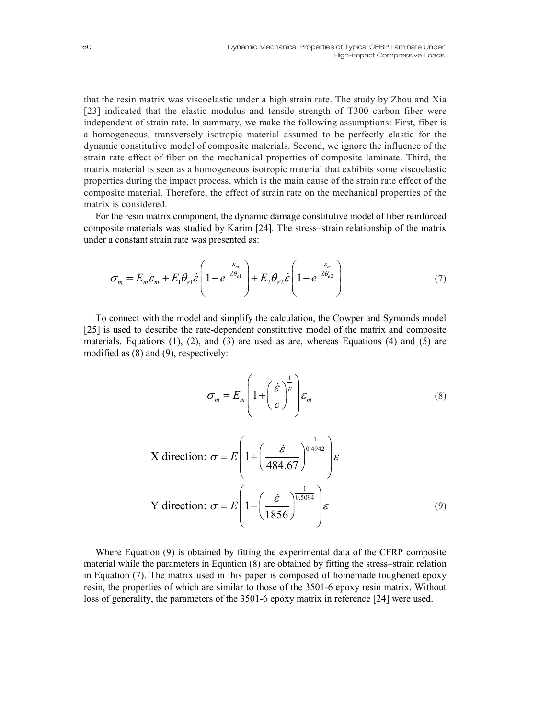that the resin matrix was viscoelastic under a high strain rate. The study by Zhou and Xia [23] indicated that the elastic modulus and tensile strength of T300 carbon fiber were independent of strain rate. In summary, we make the following assumptions: First, fiber is a homogeneous, transversely isotropic material assumed to be perfectly elastic for the dynamic constitutive model of composite materials. Second, we ignore the influence of the strain rate effect of fiber on the mechanical properties of composite laminate. Third, the matrix material is seen as a homogeneous isotropic material that exhibits some viscoelastic properties during the impact process, which is the main cause of the strain rate effect of the composite material. Therefore, the effect of strain rate on the mechanical properties of the matrix is considered.

For the resin matrix component, the dynamic damage constitutive model of fiber reinforced composite materials was studied by Karim [24]. The stress–strain relationship of the matrix under a constant strain rate was presented as:

$$
\sigma_m = E_m \varepsilon_m + E_1 \theta_{el} \dot{\varepsilon} \left( 1 - e^{-\frac{\varepsilon_m}{\dot{\varepsilon}\theta_{el}}} \right) + E_2 \theta_{el} \dot{\varepsilon} \left( 1 - e^{-\frac{\varepsilon_m}{\dot{\varepsilon}\theta_{el}}} \right) \tag{7}
$$

To connect with the model and simplify the calculation, the Cowper and Symonds model [25] is used to describe the rate-dependent constitutive model of the matrix and composite materials. Equations  $(1)$ ,  $(2)$ , and  $(3)$  are used as are, whereas Equations  $(4)$  and  $(5)$  are modified as (8) and (9), respectively:

$$
\sigma_m = E_m \left( 1 + \left( \frac{\dot{\varepsilon}}{c} \right)^{\frac{1}{p}} \right) \varepsilon_m \tag{8}
$$

X direction: 
$$
\sigma = E \left( 1 + \left( \frac{\dot{\varepsilon}}{484.67} \right)^{\frac{1}{0.4942}} \right) \varepsilon
$$
  
Y direction:  $\sigma = E \left( 1 - \left( \frac{\dot{\varepsilon}}{1856} \right)^{\frac{1}{0.5094}} \right) \varepsilon$  (9)

Where Equation (9) is obtained by fitting the experimental data of the CFRP composite material while the parameters in Equation (8) are obtained by fitting the stress–strain relation in Equation (7). The matrix used in this paper is composed of homemade toughened epoxy resin, the properties of which are similar to those of the 3501-6 epoxy resin matrix. Without loss of generality, the parameters of the 3501-6 epoxy matrix in reference [24] were used.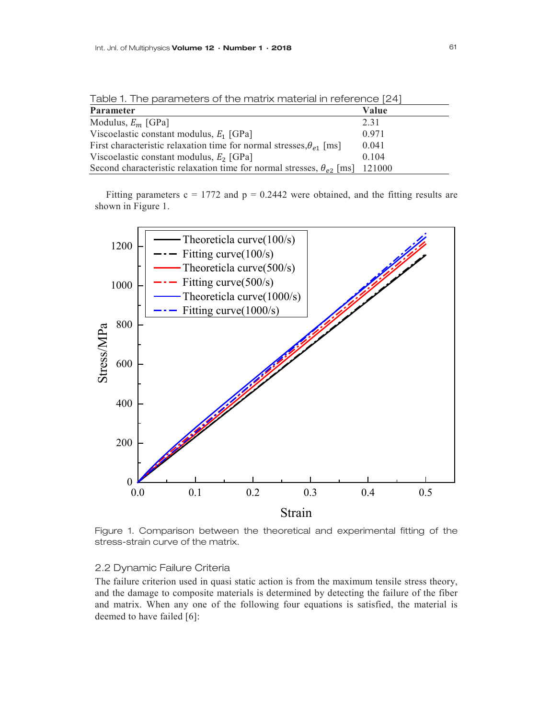| <b>Parameter</b><br>Value                                                                 |  |
|-------------------------------------------------------------------------------------------|--|
| Modulus, $E_m$ [GPa]<br>2.31                                                              |  |
| Viscoelastic constant modulus, $E_1$ [GPa]<br>0.971                                       |  |
| First characteristic relaxation time for normal stresses, $\theta_{e1}$ [ms]<br>0.041     |  |
| Viscoelastic constant modulus, $E_2$ [GPa]<br>0.104                                       |  |
| Second characteristic relaxation time for normal stresses, $\theta_{\rho}$ [ms]<br>121000 |  |

Table 1. The parameters of the matrix material in reference [24]

Fitting parameters  $c = 1772$  and  $p = 0.2442$  were obtained, and the fitting results are shown in Figure 1.



Figure 1. Comparison between the theoretical and experimental fitting of the stress-strain curve of the matrix.

#### 2.2 Dynamic Failure Criteria

The failure criterion used in quasi static action is from the maximum tensile stress theory, and the damage to composite materials is determined by detecting the failure of the fiber and matrix. When any one of the following four equations is satisfied, the material is deemed to have failed [6]: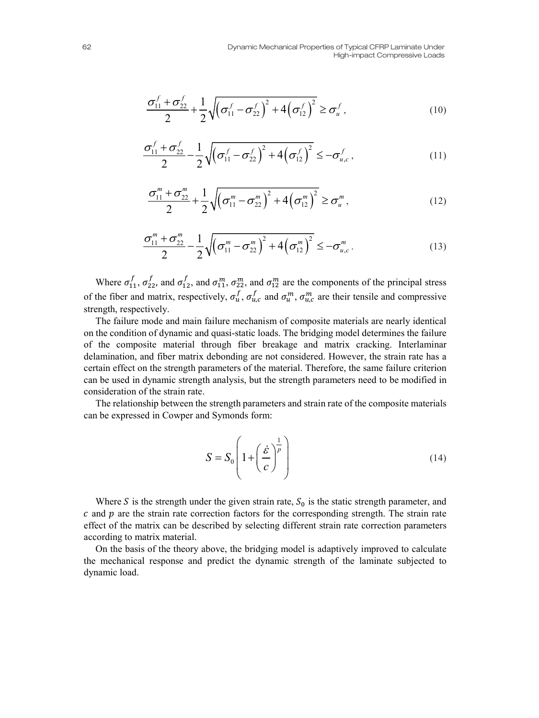$$
\frac{\sigma_{11}^f + \sigma_{22}^f}{2} + \frac{1}{2} \sqrt{\left(\sigma_{11}^f - \sigma_{22}^f\right)^2 + 4\left(\sigma_{12}^f\right)^2} \ge \sigma_u^f,
$$
\n(10)

$$
\frac{\sigma_{11}^f + \sigma_{22}^f}{2} - \frac{1}{2} \sqrt{\left(\sigma_{11}^f - \sigma_{22}^f\right)^2 + 4\left(\sigma_{12}^f\right)^2} \le -\sigma_{u,c}^f,
$$
\n(11)

$$
\frac{\sigma_{11}^m + \sigma_{22}^m}{2} + \frac{1}{2} \sqrt{\left(\sigma_{11}^m - \sigma_{22}^m\right)^2 + 4\left(\sigma_{12}^m\right)^2} \ge \sigma_u^m,
$$
\n(12)

$$
\frac{\sigma_{11}^m + \sigma_{22}^m}{2} - \frac{1}{2} \sqrt{\left(\sigma_{11}^m - \sigma_{22}^m\right)^2 + 4\left(\sigma_{12}^m\right)^2} \le -\sigma_{u,c}^m.
$$
\n(13)

Where  $\sigma_{11}^f$ ,  $\sigma_{22}^f$ , and  $\sigma_{11}^m$ ,  $\sigma_{22}^m$ , and  $\sigma_{12}^m$  are the components of the principal stress of the fiber and matrix, respectively,  $\sigma_u^f$ ,  $\sigma_{u,c}^f$  and  $\sigma_u^m$ ,  $\sigma_{u,c}^m$  are their tensile and compressive strength, respectively.

The failure mode and main failure mechanism of composite materials are nearly identical on the condition of dynamic and quasi-static loads. The bridging model determines the failure of the composite material through fiber breakage and matrix cracking. Interlaminar delamination, and fiber matrix debonding are not considered. However, the strain rate has a certain effect on the strength parameters of the material. Therefore, the same failure criterion can be used in dynamic strength analysis, but the strength parameters need to be modified in consideration of the strain rate.

The relationship between the strength parameters and strain rate of the composite materials can be expressed in Cowper and Symonds form:

$$
S = S_0 \left( 1 + \left( \frac{\dot{\varepsilon}}{c} \right)^{\frac{1}{p}} \right) \tag{14}
$$

Where S is the strength under the given strain rate,  $S_0$  is the static strength parameter, and  $c$  and  $p$  are the strain rate correction factors for the corresponding strength. The strain rate effect of the matrix can be described by selecting different strain rate correction parameters according to matrix material.

On the basis of the theory above, the bridging model is adaptively improved to calculate the mechanical response and predict the dynamic strength of the laminate subjected to dynamic load.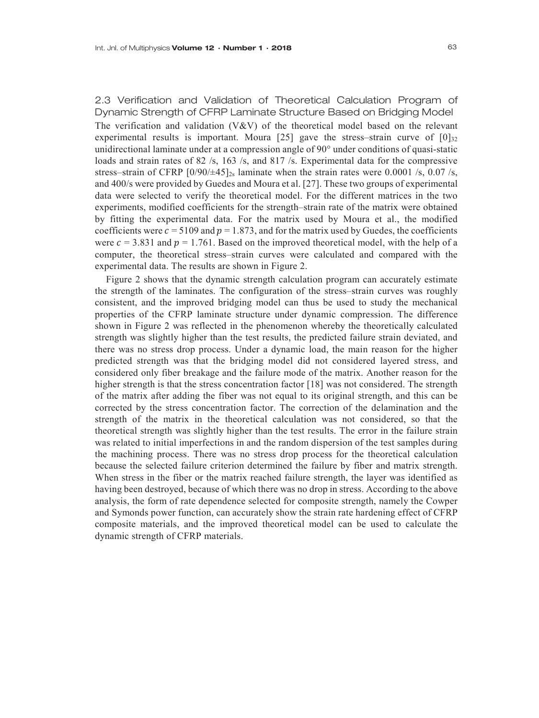2.3 Verification and Validation of Theoretical Calculation Program of Dynamic Strength of CFRP Laminate Structure Based on Bridging Model The verification and validation  $(V&V)$  of the theoretical model based on the relevant experimental results is important. Moura [25] gave the stress-strain curve of  $[0]_{32}$ unidirectional laminate under at a compression angle of 90° under conditions of quasi-static loads and strain rates of 82 /s, 163 /s, and 817 /s. Experimental data for the compressive stress–strain of CFRP  $[0/90/445]_{2s}$  laminate when the strain rates were 0.0001 /s, 0.07 /s, and 400/s were provided by Guedes and Moura et al. [27]. These two groups of experimental data were selected to verify the theoretical model. For the different matrices in the two experiments, modified coefficients for the strength–strain rate of the matrix were obtained by fitting the experimental data. For the matrix used by Moura et al., the modified coefficients were  $c = 5109$  and  $p = 1.873$ , and for the matrix used by Guedes, the coefficients were  $c = 3.831$  and  $p = 1.761$ . Based on the improved theoretical model, with the help of a computer, the theoretical stress–strain curves were calculated and compared with the experimental data. The results are shown in Figure 2.

Figure 2 shows that the dynamic strength calculation program can accurately estimate the strength of the laminates. The configuration of the stress–strain curves was roughly consistent, and the improved bridging model can thus be used to study the mechanical properties of the CFRP laminate structure under dynamic compression. The difference shown in Figure 2 was reflected in the phenomenon whereby the theoretically calculated strength was slightly higher than the test results, the predicted failure strain deviated, and there was no stress drop process. Under a dynamic load, the main reason for the higher predicted strength was that the bridging model did not considered layered stress, and considered only fiber breakage and the failure mode of the matrix. Another reason for the higher strength is that the stress concentration factor [18] was not considered. The strength of the matrix after adding the fiber was not equal to its original strength, and this can be corrected by the stress concentration factor. The correction of the delamination and the strength of the matrix in the theoretical calculation was not considered, so that the theoretical strength was slightly higher than the test results. The error in the failure strain was related to initial imperfections in and the random dispersion of the test samples during the machining process. There was no stress drop process for the theoretical calculation because the selected failure criterion determined the failure by fiber and matrix strength. When stress in the fiber or the matrix reached failure strength, the layer was identified as having been destroyed, because of which there was no drop in stress. According to the above analysis, the form of rate dependence selected for composite strength, namely the Cowper and Symonds power function, can accurately show the strain rate hardening effect of CFRP composite materials, and the improved theoretical model can be used to calculate the dynamic strength of CFRP materials.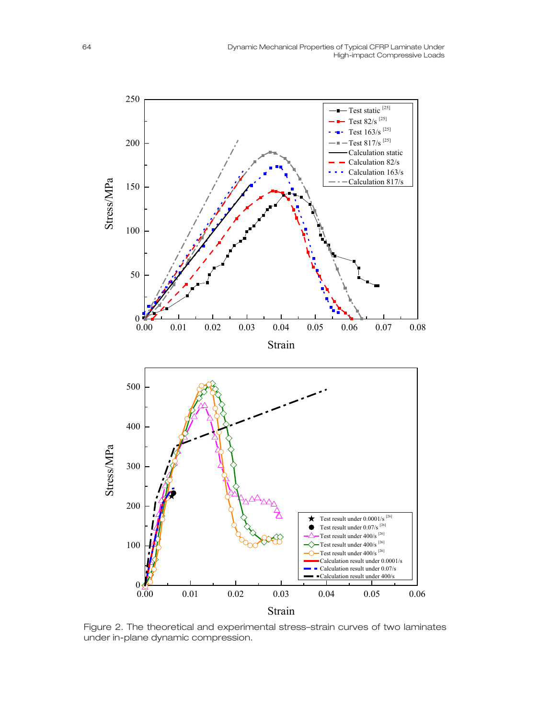

Figure 2. The theoretical and experimental stress–strain curves of two laminates under in-plane dynamic compression.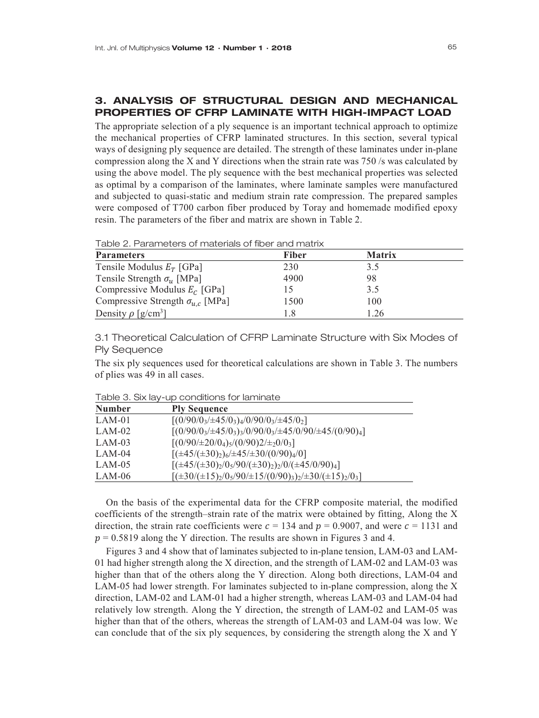# 3. ANALYSIS OF STRUCTURAL DESIGN AND MECHANICAL PROPERTIES OF CFRP LAMINATE WITH HIGH-IMPACT LOAD

The appropriate selection of a ply sequence is an important technical approach to optimize the mechanical properties of CFRP laminated structures. In this section, several typical ways of designing ply sequence are detailed. The strength of these laminates under in-plane compression along the X and Y directions when the strain rate was 750 /s was calculated by using the above model. The ply sequence with the best mechanical properties was selected as optimal by a comparison of the laminates, where laminate samples were manufactured and subjected to quasi-static and medium strain rate compression. The prepared samples were composed of T700 carbon fiber produced by Toray and homemade modified epoxy resin. The parameters of the fiber and matrix are shown in Table 2.

| Table 2. Parameters of materials of fiber and matrix |  |  |
|------------------------------------------------------|--|--|
|------------------------------------------------------|--|--|

| <b>Parameters</b>                         | <b>Fiber</b> | <b>Matrix</b> |  |
|-------------------------------------------|--------------|---------------|--|
| Tensile Modulus $E_T$ [GPa]               | 230          | 3.5           |  |
| Tensile Strength $\sigma_{\rm u}$ [MPa]   | 4900         | 98            |  |
| Compressive Modulus $E_c$ [GPa]           |              | 3.5           |  |
| Compressive Strength $\sigma_{u,c}$ [MPa] | 1500         | 100           |  |
| Density $\rho$ [g/cm <sup>3</sup> ]       | 1.8          | 1.26          |  |

3.1 Theoretical Calculation of CFRP Laminate Structure with Six Modes of Ply Sequence

The six ply sequences used for theoretical calculations are shown in Table 3. The numbers of plies was 49 in all cases.

| <b>Number</b> | <b>Ply Sequence</b>                                                    |
|---------------|------------------------------------------------------------------------|
| $LAM-01$      | $[(0/90/03/\pm45/03)4/0/90/03/\pm45/02]$                               |
| $LAM-02$      | $[(0/90/03/\pm45/03)3/0/90/03/\pm45/0/90/\pm45/(0/90)4]$               |
| $LAM-03$      | $[(0/90/\pm 20/0_4)_5/(0/90)2/\pm_20/0_3]$                             |
| $LAM-04$      | $[(\pm 45/(\pm 30)_2)_6/\pm 45/ \pm 30/(0/90)_4/0]$                    |
| $LAM-05$      | $[(\pm 45/(\pm 30)_2/0_5/90/(\pm 30)_2)_2/0/(\pm 45/0/90)_4]$          |
| LAM-06        | $[(\pm 30/(\pm 15)_2/0_5/90/\pm 15/(0/90)_3)_2/\pm 30/(\pm 15)_2/0_3]$ |

Table 3. Six lay-up conditions for laminate

On the basis of the experimental data for the CFRP composite material, the modified coefficients of the strength–strain rate of the matrix were obtained by fitting, Along the X direction, the strain rate coefficients were  $c = 134$  and  $p = 0.9007$ , and were  $c = 1131$  and  $p = 0.5819$  along the Y direction. The results are shown in Figures 3 and 4.

Figures 3 and 4 show that of laminates subjected to in-plane tension, LAM-03 and LAM-01 had higher strength along the X direction, and the strength of LAM-02 and LAM-03 was higher than that of the others along the Y direction. Along both directions, LAM-04 and LAM-05 had lower strength. For laminates subjected to in-plane compression, along the X direction, LAM-02 and LAM-01 had a higher strength, whereas LAM-03 and LAM-04 had relatively low strength. Along the Y direction, the strength of LAM-02 and LAM-05 was higher than that of the others, whereas the strength of LAM-03 and LAM-04 was low. We can conclude that of the six ply sequences, by considering the strength along the X and Y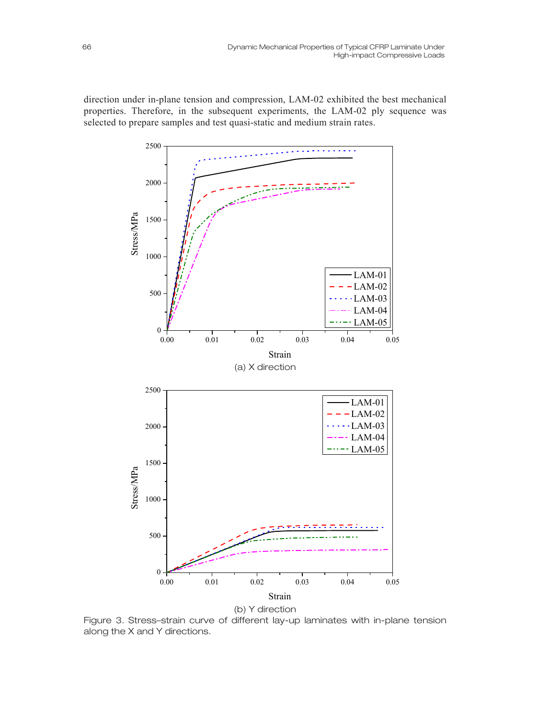direction under in-plane tension and compression, LAM-02 exhibited the best mechanical properties. Therefore, in the subsequent experiments, the LAM-02 ply sequence was selected to prepare samples and test quasi-static and medium strain rates.



Figure 3. Stress–strain curve of different lay-up laminates with in-plane tension along the X and Y directions.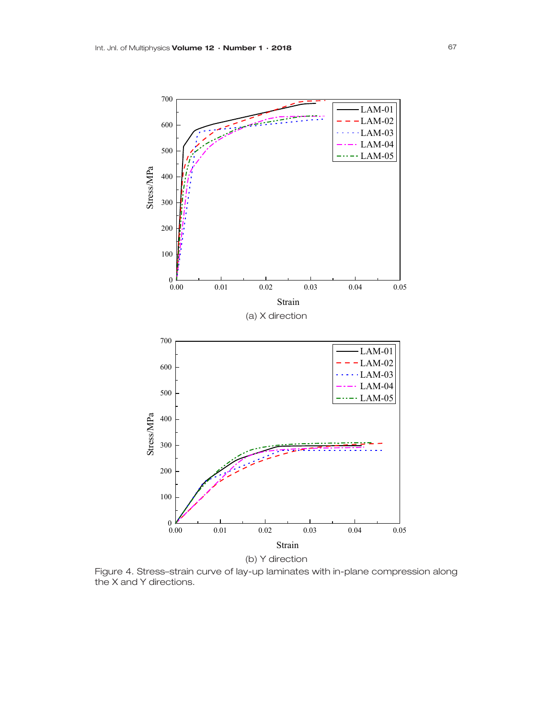

Figure 4. Stress–strain curve of lay-up laminates with in-plane compression along the X and Y directions.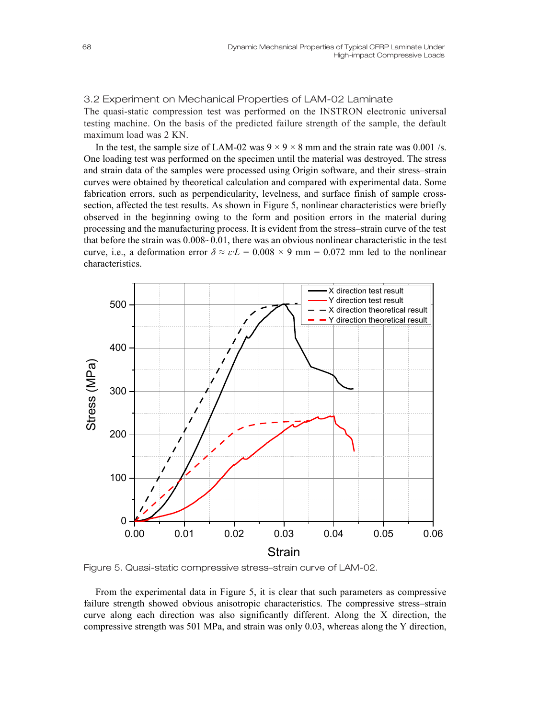## 3.2 Experiment on Mechanical Properties of LAM-02 Laminate

The quasi-static compression test was performed on the INSTRON electronic universal testing machine. On the basis of the predicted failure strength of the sample, the default maximum load was 2 KN.

In the test, the sample size of LAM-02 was  $9 \times 9 \times 8$  mm and the strain rate was 0.001 /s. One loading test was performed on the specimen until the material was destroyed. The stress and strain data of the samples were processed using Origin software, and their stress–strain curves were obtained by theoretical calculation and compared with experimental data. Some fabrication errors, such as perpendicularity, levelness, and surface finish of sample crosssection, affected the test results. As shown in Figure 5, nonlinear characteristics were briefly observed in the beginning owing to the form and position errors in the material during processing and the manufacturing process. It is evident from the stress–strain curve of the test that before the strain was 0.008~0.01, there was an obvious nonlinear characteristic in the test curve, i.e., a deformation error  $\delta \approx \varepsilon \cdot L = 0.008 \times 9$  mm = 0.072 mm led to the nonlinear characteristics.



Figure 5. Quasi-static compressive stress–strain curve of LAM-02.

From the experimental data in Figure 5, it is clear that such parameters as compressive failure strength showed obvious anisotropic characteristics. The compressive stress–strain curve along each direction was also significantly different. Along the X direction, the compressive strength was 501 MPa, and strain was only 0.03, whereas along the Y direction,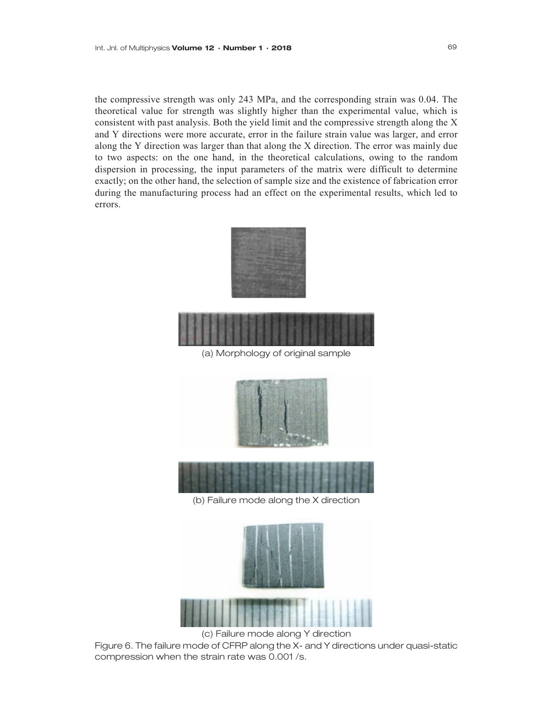the compressive strength was only 243 MPa, and the corresponding strain was 0.04. The theoretical value for strength was slightly higher than the experimental value, which is consistent with past analysis. Both the yield limit and the compressive strength along the X and Y directions were more accurate, error in the failure strain value was larger, and error along the Y direction was larger than that along the X direction. The error was mainly due to two aspects: on the one hand, in the theoretical calculations, owing to the random dispersion in processing, the input parameters of the matrix were difficult to determine exactly; on the other hand, the selection of sample size and the existence of fabrication error during the manufacturing process had an effect on the experimental results, which led to errors.





(a) Morphology of original sample





(b) Failure mode along the X direction



Figure 6. The failure mode of CFRP along the X- and Y directions under quasi-static compression when the strain rate was 0.001 /s.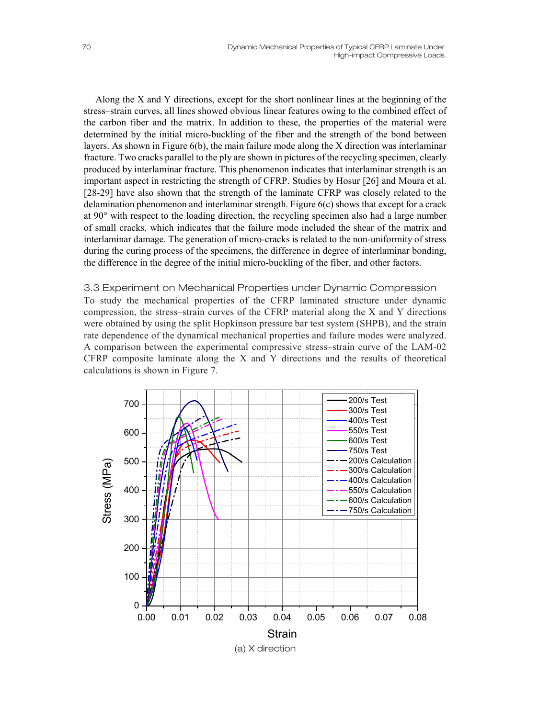Along the X and Y directions, except for the short nonlinear lines at the beginning of the stress–strain curves, all lines showed obvious linear features owing to the combined effect of the carbon fiber and the matrix. In addition to these, the properties of the material were determined by the initial micro-buckling of the fiber and the strength of the bond between layers. As shown in Figure  $6(b)$ , the main failure mode along the X direction was interlaminar fracture. Two cracks parallel to the ply are shown in pictures of the recycling specimen, clearly produced by interlaminar fracture. This phenomenon indicates that interlaminar strength is an important aspect in restricting the strength of CFRP. Studies by Hosur [26] and Moura et al. [28-29] have also shown that the strength of the laminate CFRP was closely related to the delamination phenomenon and interlaminar strength. Figure 6(c) shows that except for a crack at 90° with respect to the loading direction, the recycling specimen also had a large number of small cracks, which indicates that the failure mode included the shear of the matrix and interlaminar damage. The generation of micro-cracks is related to the non-uniformity of stress during the curing process of the specimens, the difference in degree of interlaminar bonding, the difference in the degree of the initial micro-buckling of the fiber, and other factors.

### 3.3 Experiment on Mechanical Properties under Dynamic Compression

To study the mechanical properties of the CFRP laminated structure under dynamic compression, the stress–strain curves of the CFRP material along the X and Y directions were obtained by using the split Hopkinson pressure bar test system (SHPB), and the strain rate dependence of the dynamical mechanical properties and failure modes were analyzed. A comparison between the experimental compressive stress–strain curve of the LAM-02 CFRP composite laminate along the X and Y directions and the results of theoretical calculations is shown in Figure 7.

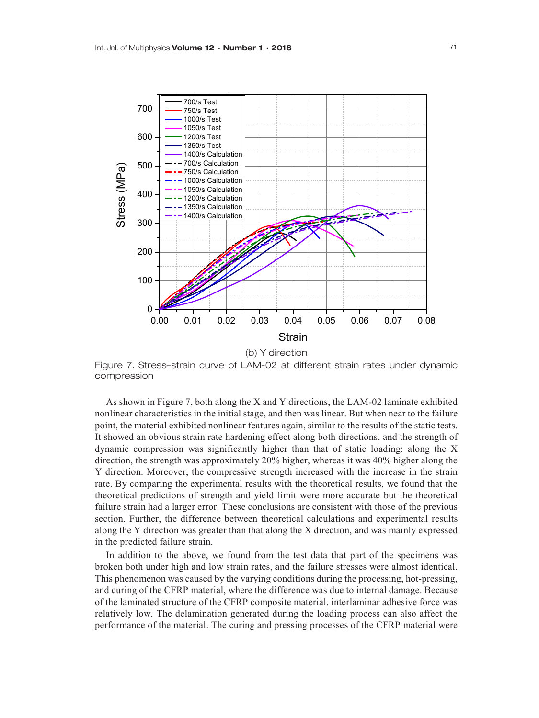

Figure 7. Stress–strain curve of LAM-02 at different strain rates under dynamic compression

As shown in Figure 7, both along the X and Y directions, the LAM-02 laminate exhibited nonlinear characteristics in the initial stage, and then was linear. But when near to the failure point, the material exhibited nonlinear features again, similar to the results of the static tests. It showed an obvious strain rate hardening effect along both directions, and the strength of dynamic compression was significantly higher than that of static loading: along the X direction, the strength was approximately 20% higher, whereas it was 40% higher along the Y direction. Moreover, the compressive strength increased with the increase in the strain rate. By comparing the experimental results with the theoretical results, we found that the theoretical predictions of strength and yield limit were more accurate but the theoretical failure strain had a larger error. These conclusions are consistent with those of the previous section. Further, the difference between theoretical calculations and experimental results along the Y direction was greater than that along the X direction, and was mainly expressed in the predicted failure strain.

In addition to the above, we found from the test data that part of the specimens was broken both under high and low strain rates, and the failure stresses were almost identical. This phenomenon was caused by the varying conditions during the processing, hot-pressing, and curing of the CFRP material, where the difference was due to internal damage. Because of the laminated structure of the CFRP composite material, interlaminar adhesive force was relatively low. The delamination generated during the loading process can also affect the performance of the material. The curing and pressing processes of the CFRP material were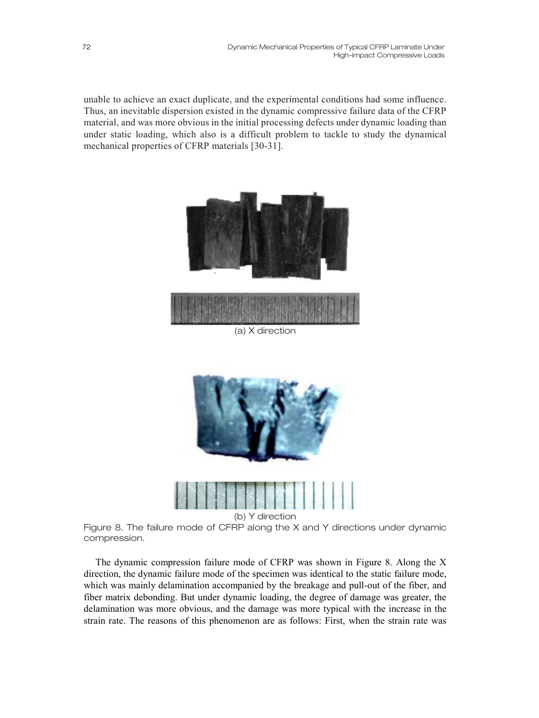unable to achieve an exact duplicate, and the experimental conditions had some influence. Thus, an inevitable dispersion existed in the dynamic compressive failure data of the CFRP material, and was more obvious in the initial processing defects under dynamic loading than under static loading, which also is a difficult problem to tackle to study the dynamical mechanical properties of CFRP materials [30-31].



(a) X direction



(b) Y direction

Figure 8. The failure mode of CFRP along the X and Y directions under dynamic compression.

The dynamic compression failure mode of CFRP was shown in Figure 8. Along the X direction, the dynamic failure mode of the specimen was identical to the static failure mode, which was mainly delamination accompanied by the breakage and pull-out of the fiber, and fiber matrix debonding. But under dynamic loading, the degree of damage was greater, the delamination was more obvious, and the damage was more typical with the increase in the strain rate. The reasons of this phenomenon are as follows: First, when the strain rate was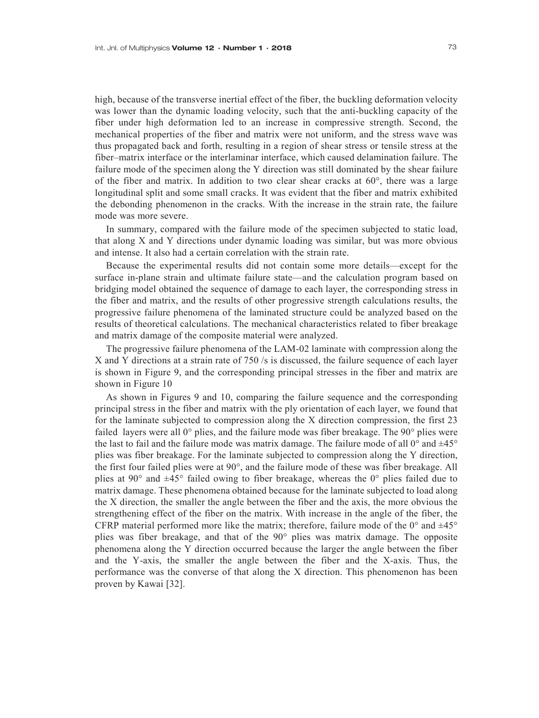high, because of the transverse inertial effect of the fiber, the buckling deformation velocity was lower than the dynamic loading velocity, such that the anti-buckling capacity of the fiber under high deformation led to an increase in compressive strength. Second, the mechanical properties of the fiber and matrix were not uniform, and the stress wave was thus propagated back and forth, resulting in a region of shear stress or tensile stress at the fiber–matrix interface or the interlaminar interface, which caused delamination failure. The failure mode of the specimen along the Y direction was still dominated by the shear failure of the fiber and matrix. In addition to two clear shear cracks at 60°, there was a large longitudinal split and some small cracks. It was evident that the fiber and matrix exhibited the debonding phenomenon in the cracks. With the increase in the strain rate, the failure mode was more severe.

In summary, compared with the failure mode of the specimen subjected to static load, that along X and Y directions under dynamic loading was similar, but was more obvious and intense. It also had a certain correlation with the strain rate.

Because the experimental results did not contain some more details—except for the surface in-plane strain and ultimate failure state—and the calculation program based on bridging model obtained the sequence of damage to each layer, the corresponding stress in the fiber and matrix, and the results of other progressive strength calculations results, the progressive failure phenomena of the laminated structure could be analyzed based on the results of theoretical calculations. The mechanical characteristics related to fiber breakage and matrix damage of the composite material were analyzed.

The progressive failure phenomena of the LAM-02 laminate with compression along the X and Y directions at a strain rate of 750 /s is discussed, the failure sequence of each layer is shown in Figure 9, and the corresponding principal stresses in the fiber and matrix are shown in Figure 10

As shown in Figures 9 and 10, comparing the failure sequence and the corresponding principal stress in the fiber and matrix with the ply orientation of each layer, we found that for the laminate subjected to compression along the X direction compression, the first 23 failed layers were all  $0^{\circ}$  plies, and the failure mode was fiber breakage. The  $90^{\circ}$  plies were the last to fail and the failure mode was matrix damage. The failure mode of all  $0^{\circ}$  and  $\pm 45^{\circ}$ plies was fiber breakage. For the laminate subjected to compression along the Y direction, the first four failed plies were at 90°, and the failure mode of these was fiber breakage. All plies at 90 $\degree$  and  $\pm$ 45 $\degree$  failed owing to fiber breakage, whereas the 0 $\degree$  plies failed due to matrix damage. These phenomena obtained because for the laminate subjected to load along the X direction, the smaller the angle between the fiber and the axis, the more obvious the strengthening effect of the fiber on the matrix. With increase in the angle of the fiber, the CFRP material performed more like the matrix; therefore, failure mode of the  $0^{\circ}$  and  $\pm 45^{\circ}$ plies was fiber breakage, and that of the 90° plies was matrix damage. The opposite phenomena along the Y direction occurred because the larger the angle between the fiber and the Y-axis, the smaller the angle between the fiber and the X-axis. Thus, the performance was the converse of that along the X direction. This phenomenon has been proven by Kawai [32].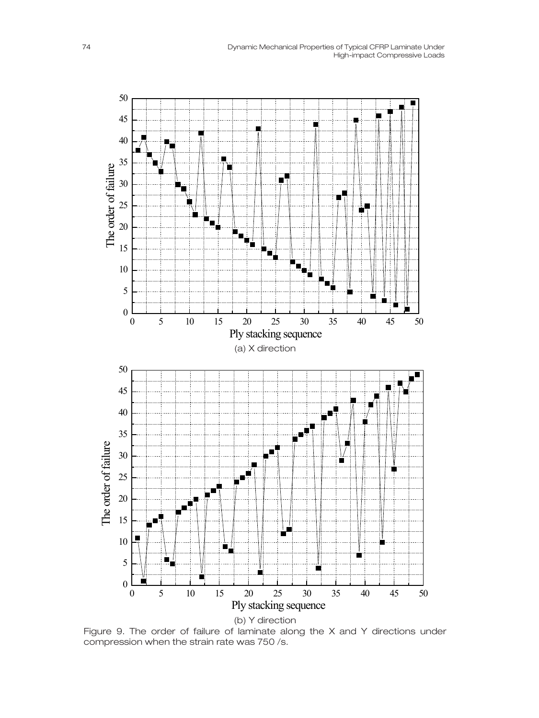

Figure 9. The order of failure of laminate along the X and Y directions under compression when the strain rate was 750 /s.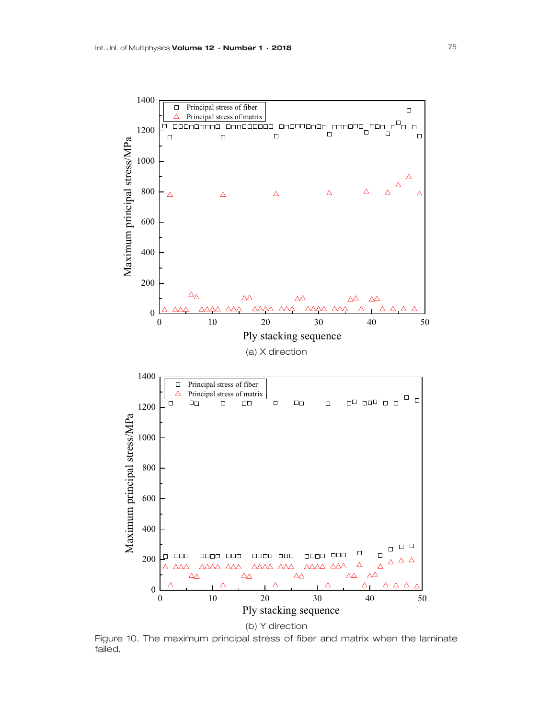

Figure 10. The maximum principal stress of fiber and matrix when the laminate failed.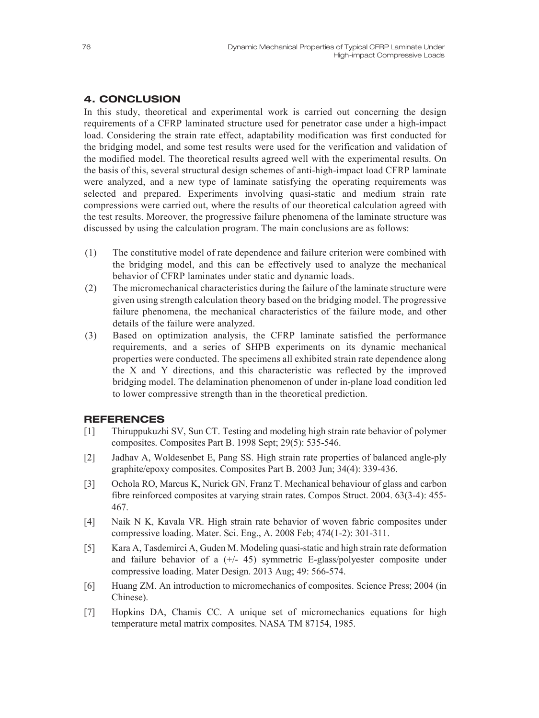# 4. CONCLUSION

In this study, theoretical and experimental work is carried out concerning the design requirements of a CFRP laminated structure used for penetrator case under a high-impact load. Considering the strain rate effect, adaptability modification was first conducted for the bridging model, and some test results were used for the verification and validation of the modified model. The theoretical results agreed well with the experimental results. On the basis of this, several structural design schemes of anti-high-impact load CFRP laminate were analyzed, and a new type of laminate satisfying the operating requirements was selected and prepared. Experiments involving quasi-static and medium strain rate compressions were carried out, where the results of our theoretical calculation agreed with the test results. Moreover, the progressive failure phenomena of the laminate structure was discussed by using the calculation program. The main conclusions are as follows:

- (1) The constitutive model of rate dependence and failure criterion were combined with the bridging model, and this can be effectively used to analyze the mechanical behavior of CFRP laminates under static and dynamic loads.
- (2) The micromechanical characteristics during the failure of the laminate structure were given using strength calculation theory based on the bridging model. The progressive failure phenomena, the mechanical characteristics of the failure mode, and other details of the failure were analyzed.
- (3) Based on optimization analysis, the CFRP laminate satisfied the performance requirements, and a series of SHPB experiments on its dynamic mechanical properties were conducted. The specimens all exhibited strain rate dependence along the X and Y directions, and this characteristic was reflected by the improved bridging model. The delamination phenomenon of under in-plane load condition led to lower compressive strength than in the theoretical prediction.

## **REFERENCES**

- [1] Thiruppukuzhi SV, Sun CT. Testing and modeling high strain rate behavior of polymer composites. Composites Part B. 1998 Sept; 29(5): 535-546.
- [2] Jadhav A, Woldesenbet E, Pang SS. High strain rate properties of balanced angle-ply graphite/epoxy composites. Composites Part B. 2003 Jun; 34(4): 339-436.
- [3] Ochola RO, Marcus K, Nurick GN, Franz T. Mechanical behaviour of glass and carbon fibre reinforced composites at varying strain rates. Compos Struct. 2004. 63(3-4): 455- 467.
- [4] Naik N K, Kavala VR. High strain rate behavior of woven fabric composites under compressive loading. Mater. Sci. Eng., A. 2008 Feb; 474(1-2): 301-311.
- [5] Kara A, Tasdemirci A, Guden M. Modeling quasi-static and high strain rate deformation and failure behavior of a  $(+/- 45)$  symmetric E-glass/polyester composite under compressive loading. Mater Design. 2013 Aug; 49: 566-574.
- [6] Huang ZM. An introduction to micromechanics of composites. Science Press; 2004 (in Chinese).
- [7] Hopkins DA, Chamis CC. A unique set of micromechanics equations for high temperature metal matrix composites. NASA TM 87154, 1985.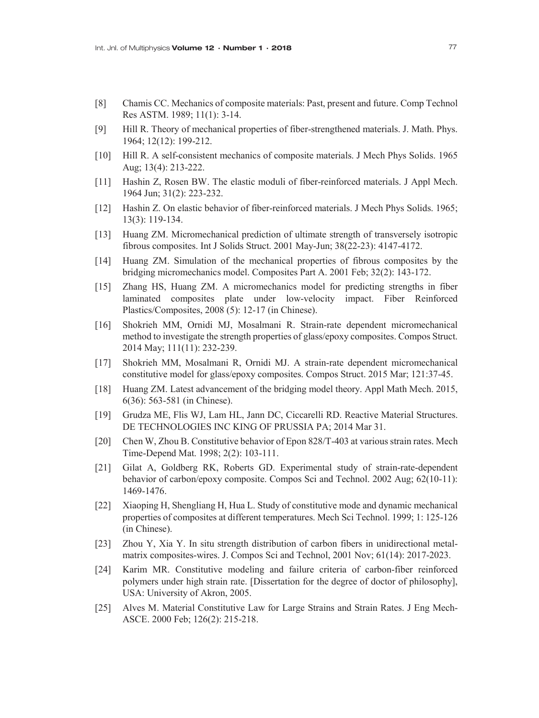- [8] Chamis CC. Mechanics of composite materials: Past, present and future. Comp Technol Res ASTM. 1989; 11(1): 3-14.
- [9] Hill R. Theory of mechanical properties of fiber-strengthened materials. J. Math. Phys. 1964; 12(12): 199-212.
- [10] Hill R. A self-consistent mechanics of composite materials. J Mech Phys Solids. 1965 Aug; 13(4): 213-222.
- [11] Hashin Z, Rosen BW. The elastic moduli of fiber-reinforced materials. J Appl Mech. 1964 Jun; 31(2): 223-232.
- [12] Hashin Z. On elastic behavior of fiber-reinforced materials. J Mech Phys Solids. 1965; 13(3): 119-134.
- [13] Huang ZM. Micromechanical prediction of ultimate strength of transversely isotropic fibrous composites. Int J Solids Struct. 2001 May-Jun; 38(22-23): 4147-4172.
- [14] Huang ZM. Simulation of the mechanical properties of fibrous composites by the bridging micromechanics model. Composites Part A. 2001 Feb; 32(2): 143-172.
- [15] Zhang HS, Huang ZM. A micromechanics model for predicting strengths in fiber laminated composites plate under low-velocity impact. Fiber Reinforced Plastics/Composites, 2008 (5): 12-17 (in Chinese).
- [16] Shokrieh MM, Ornidi MJ, Mosalmani R. Strain-rate dependent micromechanical method to investigate the strength properties of glass/epoxy composites. Compos Struct. 2014 May; 111(11): 232-239.
- [17] Shokrieh MM, Mosalmani R, Ornidi MJ. A strain-rate dependent micromechanical constitutive model for glass/epoxy composites. Compos Struct. 2015 Mar; 121:37-45.
- [18] Huang ZM. Latest advancement of the bridging model theory. Appl Math Mech. 2015, 6(36): 563-581 (in Chinese).
- [19] Grudza ME, Flis WJ, Lam HL, Jann DC, Ciccarelli RD. Reactive Material Structures. DE TECHNOLOGIES INC KING OF PRUSSIA PA; 2014 Mar 31.
- [20] Chen W, Zhou B. Constitutive behavior of Epon 828/T-403 at various strain rates. Mech Time-Depend Mat. 1998; 2(2): 103-111.
- [21] Gilat A, Goldberg RK, Roberts GD. Experimental study of strain-rate-dependent behavior of carbon/epoxy composite. Compos Sci and Technol. 2002 Aug; 62(10-11): 1469-1476.
- [22] Xiaoping H, Shengliang H, Hua L. Study of constitutive mode and dynamic mechanical properties of composites at different temperatures. Mech Sci Technol. 1999; 1: 125-126 (in Chinese).
- [23] Zhou Y, Xia Y. In situ strength distribution of carbon fibers in unidirectional metalmatrix composites-wires. J. Compos Sci and Technol, 2001 Nov; 61(14): 2017-2023.
- [24] Karim MR. Constitutive modeling and failure criteria of carbon-fiber reinforced polymers under high strain rate. [Dissertation for the degree of doctor of philosophy], USA: University of Akron, 2005.
- [25] Alves M. Material Constitutive Law for Large Strains and Strain Rates. J Eng Mech-ASCE. 2000 Feb; 126(2): 215-218.